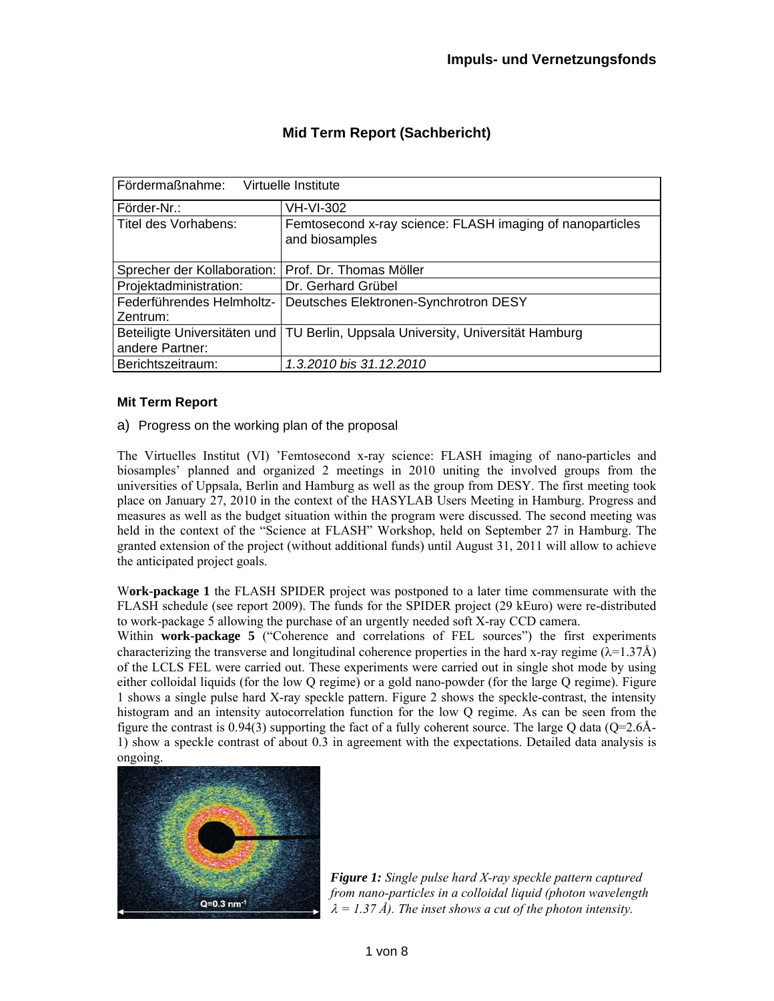| Fördermaßnahme:<br>Virtuelle Institute |                                                                                 |
|----------------------------------------|---------------------------------------------------------------------------------|
| Förder-Nr.:                            | <b>VH-VI-302</b>                                                                |
| Titel des Vorhabens:                   | Femtosecond x-ray science: FLASH imaging of nanoparticles<br>and biosamples     |
| Sprecher der Kollaboration:            | Prof. Dr. Thomas Möller                                                         |
| Projektadministration:                 | Dr. Gerhard Grübel                                                              |
| Federführendes Helmholtz-              | Deutsches Elektronen-Synchrotron DESY                                           |
| Zentrum:                               |                                                                                 |
|                                        | Beteiligte Universitäten und TU Berlin, Uppsala University, Universität Hamburg |
| andere Partner:                        |                                                                                 |
| Berichtszeitraum:                      | 1.3.2010 bis 31.12.2010                                                         |

# **Mid Term Report (Sachbericht)**

# **Mit Term Report**

# a) Progress on the working plan of the proposal

The Virtuelles Institut (VI) 'Femtosecond x-ray science: FLASH imaging of nano-particles and biosamples' planned and organized 2 meetings in 2010 uniting the involved groups from the universities of Uppsala, Berlin and Hamburg as well as the group from DESY. The first meeting took place on January 27, 2010 in the context of the HASYLAB Users Meeting in Hamburg. Progress and measures as well as the budget situation within the program were discussed. The second meeting was held in the context of the "Science at FLASH" Workshop, held on September 27 in Hamburg. The granted extension of the project (without additional funds) until August 31, 2011 will allow to achieve the anticipated project goals.

W**ork-package 1** the FLASH SPIDER project was postponed to a later time commensurate with the FLASH schedule (see report 2009). The funds for the SPIDER project (29 kEuro) were re-distributed to work-package 5 allowing the purchase of an urgently needed soft X-ray CCD camera.

Within **work-package 5** ("Coherence and correlations of FEL sources") the first experiments characterizing the transverse and longitudinal coherence properties in the hard x-ray regime  $(\lambda=1.37\text{\AA})$ of the LCLS FEL were carried out. These experiments were carried out in single shot mode by using either colloidal liquids (for the low Q regime) or a gold nano-powder (for the large Q regime). Figure 1 shows a single pulse hard X-ray speckle pattern. Figure 2 shows the speckle-contrast, the intensity histogram and an intensity autocorrelation function for the low Q regime. As can be seen from the figure the contrast is  $0.94(3)$  supporting the fact of a fully coherent source. The large Q data (Q=2.6Å-1) show a speckle contrast of about 0.3 in agreement with the expectations. Detailed data analysis is ongoing.



*Figure 1: Single pulse hard X-ray speckle pattern captured from nano-particles in a colloidal liquid (photon wavelength*   $\lambda = 1.37 \AA$ ). The inset shows a cut of the photon intensity.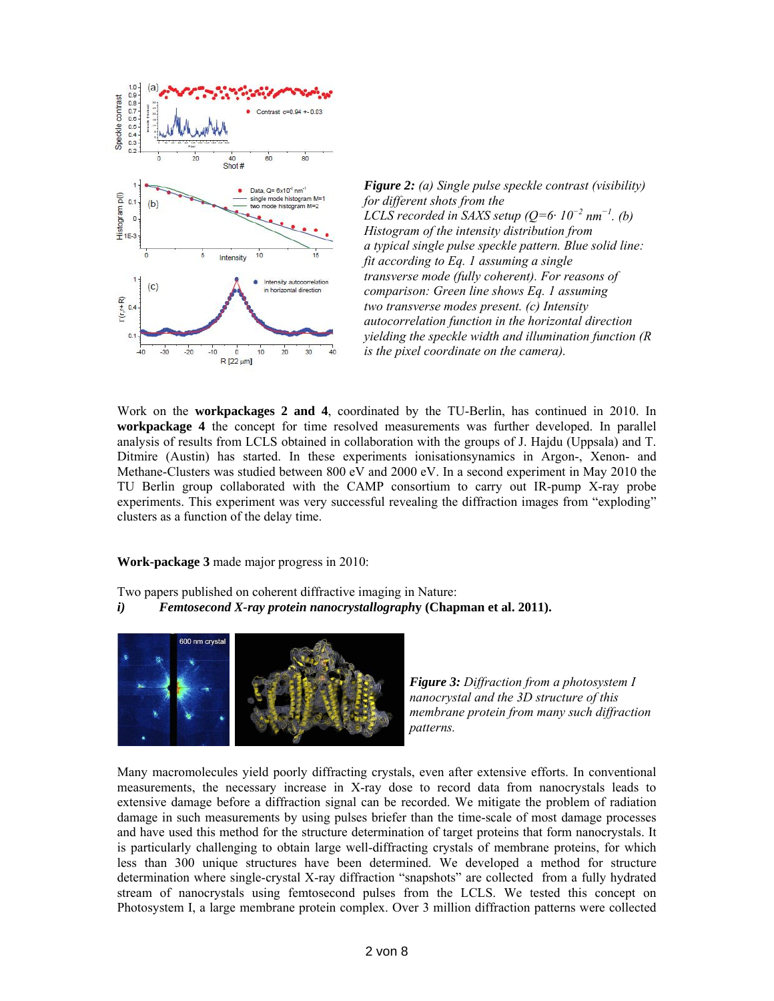



Work on the **workpackages 2 and 4**, coordinated by the TU-Berlin, has continued in 2010. In **workpackage 4** the concept for time resolved measurements was further developed. In parallel analysis of results from LCLS obtained in collaboration with the groups of J. Hajdu (Uppsala) and T. Ditmire (Austin) has started. In these experiments ionisationsynamics in Argon-, Xenon- and Methane-Clusters was studied between 800 eV and 2000 eV. In a second experiment in May 2010 the TU Berlin group collaborated with the CAMP consortium to carry out IR-pump X-ray probe experiments. This experiment was very successful revealing the diffraction images from "exploding" clusters as a function of the delay time.

**Work-package 3** made major progress in 2010:

Two papers published on coherent diffractive imaging in Nature:

*i) Femtosecond X-ray protein nanocrystallograph***y (Chapman et al. 2011).**



*Figure 3: Diffraction from a photosystem I nanocrystal and the 3D structure of this membrane protein from many such diffraction patterns.* 

Many macromolecules yield poorly diffracting crystals, even after extensive efforts. In conventional measurements, the necessary increase in X-ray dose to record data from nanocrystals leads to extensive damage before a diffraction signal can be recorded. We mitigate the problem of radiation damage in such measurements by using pulses briefer than the time-scale of most damage processes and have used this method for the structure determination of target proteins that form nanocrystals. It is particularly challenging to obtain large well-diffracting crystals of membrane proteins, for which less than 300 unique structures have been determined. We developed a method for structure determination where single-crystal X-ray diffraction "snapshots" are collected from a fully hydrated stream of nanocrystals using femtosecond pulses from the LCLS. We tested this concept on Photosystem I, a large membrane protein complex. Over 3 million diffraction patterns were collected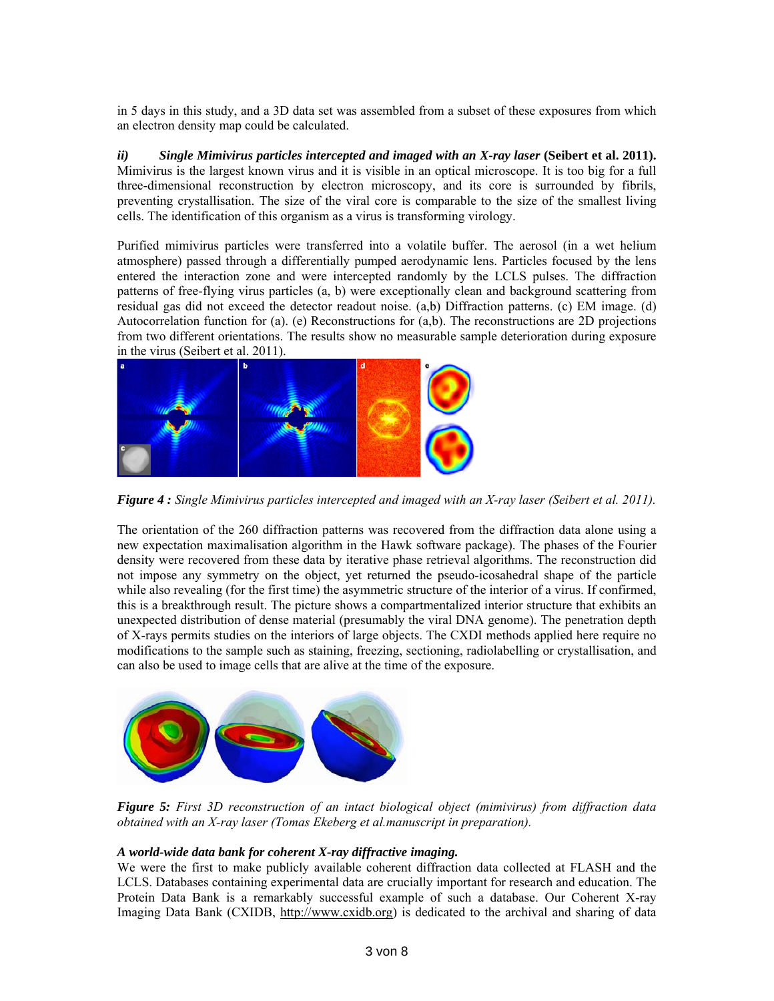in 5 days in this study, and a 3D data set was assembled from a subset of these exposures from which an electron density map could be calculated.

*ii*) Single Mimivirus particles intercepted and imaged with an X-ray laser (Seibert et al. 2011). Mimivirus is the largest known virus and it is visible in an optical microscope. It is too big for a full three-dimensional reconstruction by electron microscopy, and its core is surrounded by fibrils, preventing crystallisation. The size of the viral core is comparable to the size of the smallest living cells. The identification of this organism as a virus is transforming virology.

Purified mimivirus particles were transferred into a volatile buffer. The aerosol (in a wet helium atmosphere) passed through a differentially pumped aerodynamic lens. Particles focused by the lens entered the interaction zone and were intercepted randomly by the LCLS pulses. The diffraction patterns of free-flying virus particles (a, b) were exceptionally clean and background scattering from residual gas did not exceed the detector readout noise. (a,b) Diffraction patterns. (c) EM image. (d) Autocorrelation function for (a). (e) Reconstructions for (a,b). The reconstructions are 2D projections from two different orientations. The results show no measurable sample deterioration during exposure in the virus (Seibert et al. 2011).



*Figure 4 : Single Mimivirus particles intercepted and imaged with an X-ray laser (Seibert et al. 2011).* 

The orientation of the 260 diffraction patterns was recovered from the diffraction data alone using a new expectation maximalisation algorithm in the Hawk software package). The phases of the Fourier density were recovered from these data by iterative phase retrieval algorithms. The reconstruction did not impose any symmetry on the object, yet returned the pseudo-icosahedral shape of the particle while also revealing (for the first time) the asymmetric structure of the interior of a virus. If confirmed, this is a breakthrough result. The picture shows a compartmentalized interior structure that exhibits an unexpected distribution of dense material (presumably the viral DNA genome). The penetration depth of X-rays permits studies on the interiors of large objects. The CXDI methods applied here require no modifications to the sample such as staining, freezing, sectioning, radiolabelling or crystallisation, and can also be used to image cells that are alive at the time of the exposure.



*Figure 5: First 3D reconstruction of an intact biological object (mimivirus) from diffraction data obtained with an X-ray laser (Tomas Ekeberg et al.manuscript in preparation).* 

# *A world-wide data bank for coherent X-ray diffractive imaging.*

We were the first to make publicly available coherent diffraction data collected at FLASH and the LCLS. Databases containing experimental data are crucially important for research and education. The Protein Data Bank is a remarkably successful example of such a database. Our Coherent X-ray Imaging Data Bank (CXIDB, http://www.cxidb.org) is dedicated to the archival and sharing of data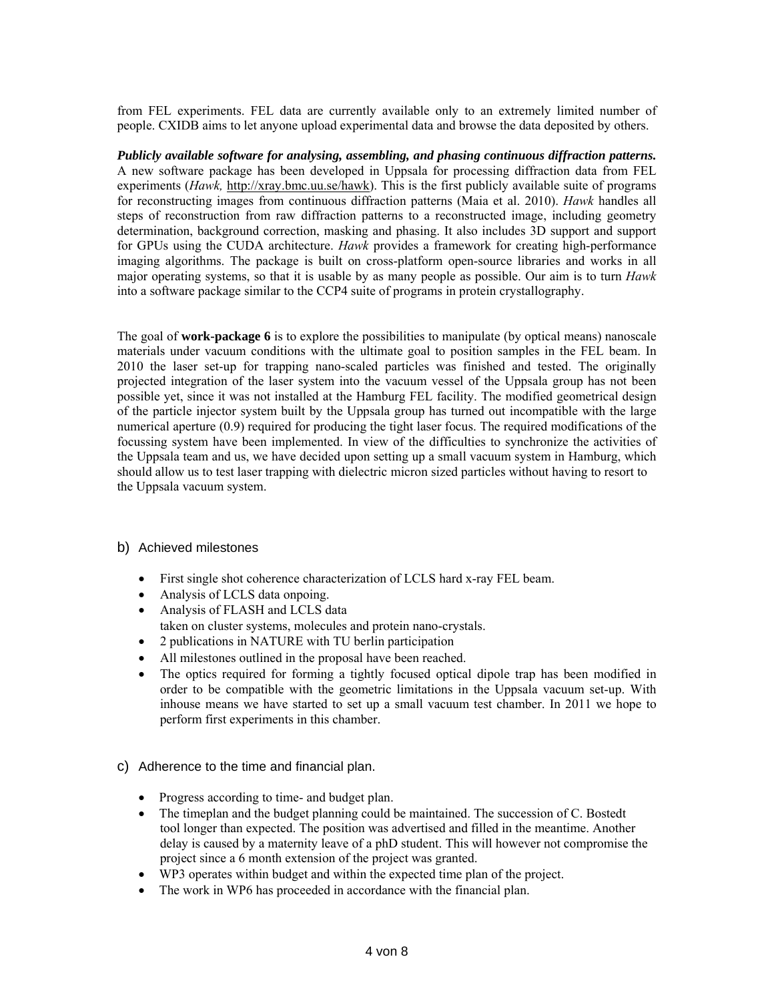from FEL experiments. FEL data are currently available only to an extremely limited number of people. CXIDB aims to let anyone upload experimental data and browse the data deposited by others.

*Publicly available software for analysing, assembling, and phasing continuous diffraction patterns.* A new software package has been developed in Uppsala for processing diffraction data from FEL experiments (*Hawk,* http://xray.bmc.uu.se/hawk). This is the first publicly available suite of programs for reconstructing images from continuous diffraction patterns (Maia et al. 2010). *Hawk* handles all steps of reconstruction from raw diffraction patterns to a reconstructed image, including geometry determination, background correction, masking and phasing. It also includes 3D support and support for GPUs using the CUDA architecture. *Hawk* provides a framework for creating high-performance imaging algorithms. The package is built on cross-platform open-source libraries and works in all major operating systems, so that it is usable by as many people as possible. Our aim is to turn *Hawk* into a software package similar to the CCP4 suite of programs in protein crystallography.

The goal of **work-package 6** is to explore the possibilities to manipulate (by optical means) nanoscale materials under vacuum conditions with the ultimate goal to position samples in the FEL beam. In 2010 the laser set-up for trapping nano-scaled particles was finished and tested. The originally projected integration of the laser system into the vacuum vessel of the Uppsala group has not been possible yet, since it was not installed at the Hamburg FEL facility. The modified geometrical design of the particle injector system built by the Uppsala group has turned out incompatible with the large numerical aperture (0.9) required for producing the tight laser focus. The required modifications of the focussing system have been implemented. In view of the difficulties to synchronize the activities of the Uppsala team and us, we have decided upon setting up a small vacuum system in Hamburg, which should allow us to test laser trapping with dielectric micron sized particles without having to resort to the Uppsala vacuum system.

# b) Achieved milestones

- First single shot coherence characterization of LCLS hard x-ray FEL beam.
- Analysis of LCLS data onpoing.
- Analysis of FLASH and LCLS data
- taken on cluster systems, molecules and protein nano-crystals.
- 2 publications in NATURE with TU berlin participation
- All milestones outlined in the proposal have been reached.
- The optics required for forming a tightly focused optical dipole trap has been modified in order to be compatible with the geometric limitations in the Uppsala vacuum set-up. With inhouse means we have started to set up a small vacuum test chamber. In 2011 we hope to perform first experiments in this chamber.
- c) Adherence to the time and financial plan.
	- Progress according to time- and budget plan.
	- The timeplan and the budget planning could be maintained. The succession of C. Bostedt tool longer than expected. The position was advertised and filled in the meantime. Another delay is caused by a maternity leave of a phD student. This will however not compromise the project since a 6 month extension of the project was granted.
	- WP3 operates within budget and within the expected time plan of the project.
	- The work in WP6 has proceeded in accordance with the financial plan.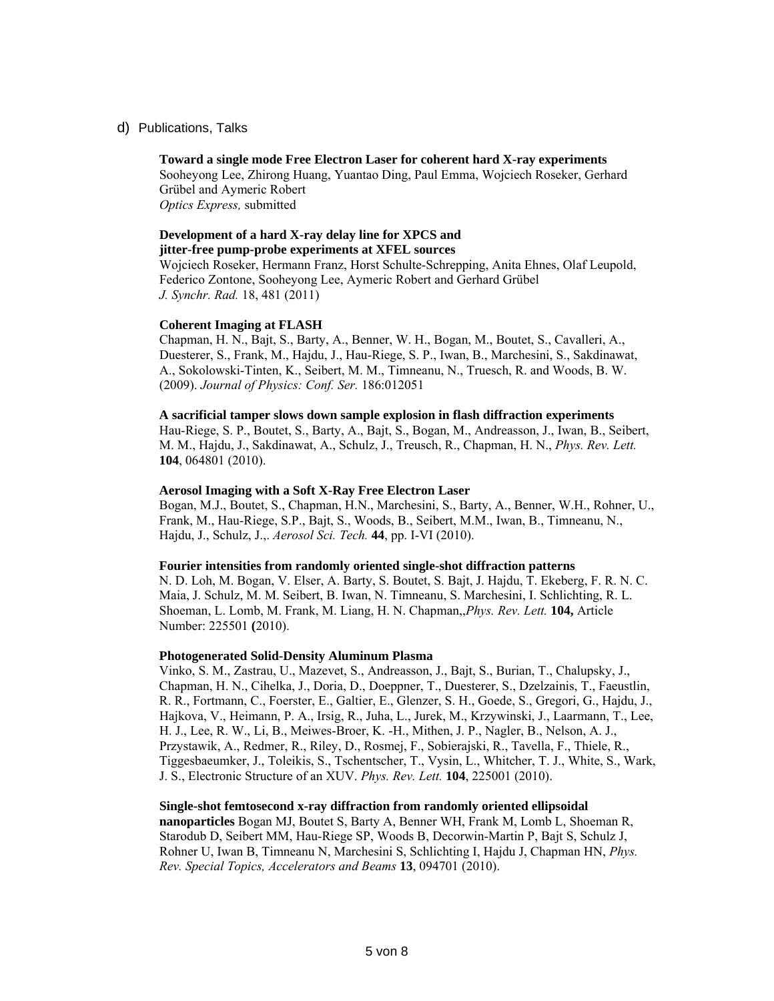d) Publications, Talks

**Toward a single mode Free Electron Laser for coherent hard X-ray experiments**  Sooheyong Lee, Zhirong Huang, Yuantao Ding, Paul Emma, Wojciech Roseker, Gerhard Grübel and Aymeric Robert *Optics Express,* submitted

# **Development of a hard X-ray delay line for XPCS and jitter-free pump-probe experiments at XFEL sources**

Wojciech Roseker, Hermann Franz, Horst Schulte-Schrepping, Anita Ehnes, Olaf Leupold, Federico Zontone, Sooheyong Lee, Aymeric Robert and Gerhard Grübel *J. Synchr. Rad.* 18, 481 (2011)

#### **Coherent Imaging at FLASH**

Chapman, H. N., Bajt, S., Barty, A., Benner, W. H., Bogan, M., Boutet, S., Cavalleri, A., Duesterer, S., Frank, M., Hajdu, J., Hau-Riege, S. P., Iwan, B., Marchesini, S., Sakdinawat, A., Sokolowski-Tinten, K., Seibert, M. M., Timneanu, N., Truesch, R. and Woods, B. W. (2009). *Journal of Physics: Conf. Ser.* 186:012051

#### **A sacrificial tamper slows down sample explosion in flash diffraction experiments**

Hau-Riege, S. P., Boutet, S., Barty, A., Bajt, S., Bogan, M., Andreasson, J., Iwan, B., Seibert, M. M., Hajdu, J., Sakdinawat, A., Schulz, J., Treusch, R., Chapman, H. N., *Phys. Rev. Lett.* **104**, 064801 (2010).

#### **Aerosol Imaging with a Soft X-Ray Free Electron Laser**

Bogan, M.J., Boutet, S., Chapman, H.N., Marchesini, S., Barty, A., Benner, W.H., Rohner, U., Frank, M., Hau-Riege, S.P., Bajt, S., Woods, B., Seibert, M.M., Iwan, B., Timneanu, N., Hajdu, J., Schulz, J.,. *Aerosol Sci. Tech.* **44**, pp. I-VI (2010).

#### **Fourier intensities from randomly oriented single-shot diffraction patterns**

N. D. Loh, M. Bogan, V. Elser, A. Barty, S. Boutet, S. Bajt, J. Hajdu, T. Ekeberg, F. R. N. C. Maia, J. Schulz, M. M. Seibert, B. Iwan, N. Timneanu, S. Marchesini, I. Schlichting, R. L. Shoeman, L. Lomb, M. Frank, M. Liang, H. N. Chapman,,*Phys. Rev. Lett.* **104,** Article Number: 225501 **(**2010).

# **Photogenerated Solid-Density Aluminum Plasma**

Vinko, S. M., Zastrau, U., Mazevet, S., Andreasson, J., Bajt, S., Burian, T., Chalupsky, J., Chapman, H. N., Cihelka, J., Doria, D., Doeppner, T., Duesterer, S., Dzelzainis, T., Faeustlin, R. R., Fortmann, C., Foerster, E., Galtier, E., Glenzer, S. H., Goede, S., Gregori, G., Hajdu, J., Hajkova, V., Heimann, P. A., Irsig, R., Juha, L., Jurek, M., Krzywinski, J., Laarmann, T., Lee, H. J., Lee, R. W., Li, B., Meiwes-Broer, K. -H., Mithen, J. P., Nagler, B., Nelson, A. J., Przystawik, A., Redmer, R., Riley, D., Rosmej, F., Sobierajski, R., Tavella, F., Thiele, R., Tiggesbaeumker, J., Toleikis, S., Tschentscher, T., Vysin, L., Whitcher, T. J., White, S., Wark, J. S., Electronic Structure of an XUV. *Phys. Rev. Lett.* **104**, 225001 (2010).

#### **Single-shot femtosecond x-ray diffraction from randomly oriented ellipsoidal**

**nanoparticles** Bogan MJ, Boutet S, Barty A, Benner WH, Frank M, Lomb L, Shoeman R, Starodub D, Seibert MM, Hau-Riege SP, Woods B, Decorwin-Martin P, Bajt S, Schulz J, Rohner U, Iwan B, Timneanu N, Marchesini S, Schlichting I, Hajdu J, Chapman HN, *Phys. Rev. Special Topics, Accelerators and Beams* **13**, 094701 (2010).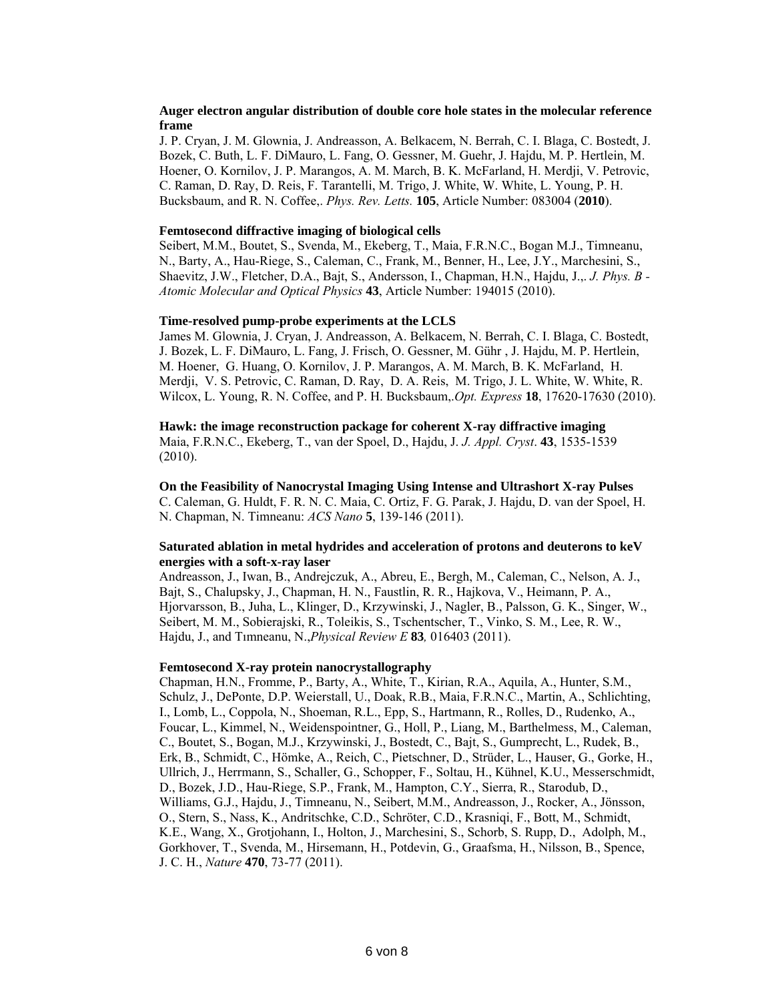### **Auger electron angular distribution of double core hole states in the molecular reference frame**

J. P. Cryan, J. M. Glownia, J. Andreasson, A. Belkacem, N. Berrah, C. I. Blaga, C. Bostedt, J. Bozek, C. Buth, L. F. DiMauro, L. Fang, O. Gessner, M. Guehr, J. Hajdu, M. P. Hertlein, M. Hoener, O. Kornilov, J. P. Marangos, A. M. March, B. K. McFarland, H. Merdji, V. Petrovic, C. Raman, D. Ray, D. Reis, F. Tarantelli, M. Trigo, J. White, W. White, L. Young, P. H. Bucksbaum, and R. N. Coffee,. *Phys. Rev. Letts.* **105**, Article Number: 083004 (**2010**).

#### **Femtosecond diffractive imaging of biological cells**

Seibert, M.M., Boutet, S., Svenda, M., Ekeberg, T., Maia, F.R.N.C., Bogan M.J., Timneanu, N., Barty, A., Hau-Riege, S., Caleman, C., Frank, M., Benner, H., Lee, J.Y., Marchesini, S., Shaevitz, J.W., Fletcher, D.A., Bajt, S., Andersson, I., Chapman, H.N., Hajdu, J.,. *J. Phys. B - Atomic Molecular and Optical Physics* **43**, Article Number: 194015 (2010).

#### **Time-resolved pump-probe experiments at the LCLS**

James M. Glownia, J. Cryan, J. Andreasson, A. Belkacem, N. Berrah, C. I. Blaga, C. Bostedt, J. Bozek, L. F. DiMauro, L. Fang, J. Frisch, O. Gessner, M. Gühr , J. Hajdu, M. P. Hertlein, M. Hoener, G. Huang, O. Kornilov, J. P. Marangos, A. M. March, B. K. McFarland, H. Merdji, V. S. Petrovic, C. Raman, D. Ray, D. A. Reis, M. Trigo, J. L. White, W. White, R. Wilcox, L. Young, R. N. Coffee, and P. H. Bucksbaum,.*Opt. Express* **18**, 17620-17630 (2010).

**Hawk: the image reconstruction package for coherent X-ray diffractive imaging**  Maia, F.R.N.C., Ekeberg, T., van der Spoel, D., Hajdu, J. *J. Appl. Cryst*. **43**, 1535-1539 (2010).

**On the Feasibility of Nanocrystal Imaging Using Intense and Ultrashort X-ray Pulses** 

C. Caleman, G. Huldt, F. R. N. C. Maia, C. Ortiz, F. G. Parak, J. Hajdu, D. van der Spoel, H. N. Chapman, N. Timneanu: *ACS Nano* **5**, 139-146 (2011).

#### **Saturated ablation in metal hydrides and acceleration of protons and deuterons to keV energies with a soft-x-ray laser**

Andreasson, J., Iwan, B., Andrejczuk, A., Abreu, E., Bergh, M., Caleman, C., Nelson, A. J., Bajt, S., Chalupsky, J., Chapman, H. N., Faustlin, R. R., Hajkova, V., Heimann, P. A., Hjorvarsson, B., Juha, L., Klinger, D., Krzywinski, J., Nagler, B., Palsson, G. K., Singer, W., Seibert, M. M., Sobierajski, R., Toleikis, S., Tschentscher, T., Vinko, S. M., Lee, R. W., Hajdu, J., and Tımneanu, N.,*Physical Review E* **83***,* 016403 (2011).

#### **Femtosecond X-ray protein nanocrystallography**

Chapman, H.N., Fromme, P., Barty, A., White, T., Kirian, R.A., Aquila, A., Hunter, S.M., Schulz, J., DePonte, D.P. Weierstall, U., Doak, R.B., Maia, F.R.N.C., Martin, A., Schlichting, I., Lomb, L., Coppola, N., Shoeman, R.L., Epp, S., Hartmann, R., Rolles, D., Rudenko, A., Foucar, L., Kimmel, N., Weidenspointner, G., Holl, P., Liang, M., Barthelmess, M., Caleman, C., Boutet, S., Bogan, M.J., Krzywinski, J., Bostedt, C., Bajt, S., Gumprecht, L., Rudek, B., Erk, B., Schmidt, C., Hömke, A., Reich, C., Pietschner, D., Strüder, L., Hauser, G., Gorke, H., Ullrich, J., Herrmann, S., Schaller, G., Schopper, F., Soltau, H., Kühnel, K.U., Messerschmidt, D., Bozek, J.D., Hau-Riege, S.P., Frank, M., Hampton, C.Y., Sierra, R., Starodub, D., Williams, G.J., Hajdu, J., Timneanu, N., Seibert, M.M., Andreasson, J., Rocker, A., Jönsson, O., Stern, S., Nass, K., Andritschke, C.D., Schröter, C.D., Krasniqi, F., Bott, M., Schmidt, K.E., Wang, X., Grotjohann, I., Holton, J., Marchesini, S., Schorb, S. Rupp, D., Adolph, M., Gorkhover, T., Svenda, M., Hirsemann, H., Potdevin, G., Graafsma, H., Nilsson, B., Spence, J. C. H., *Nature* **470**, 73-77 (2011).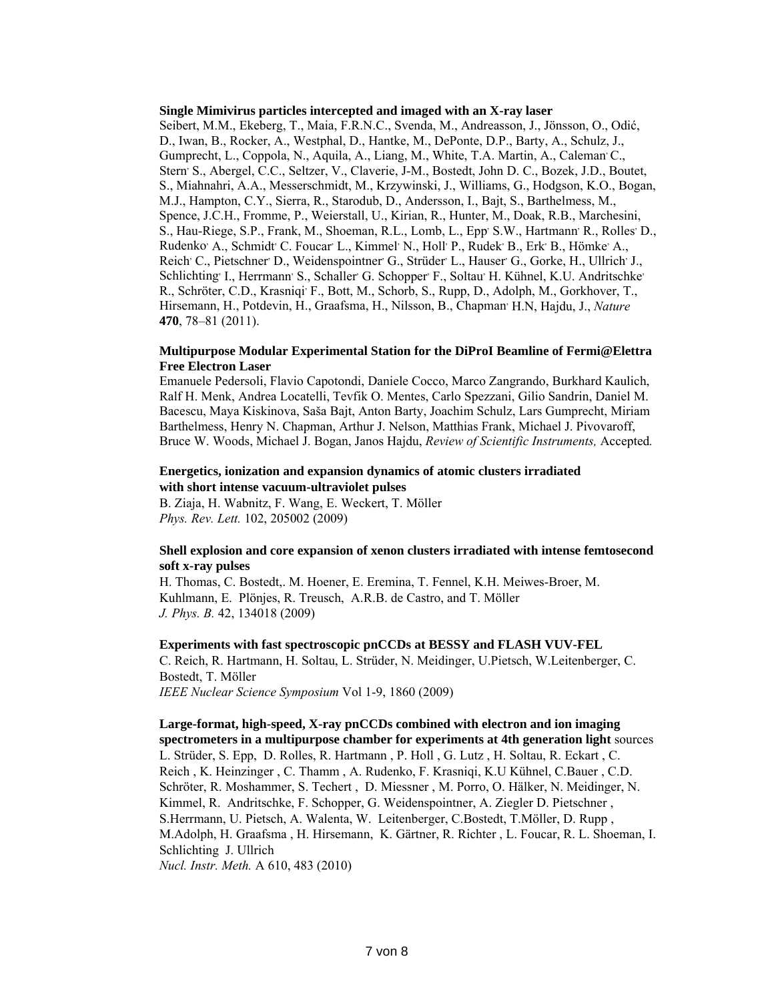#### **Single Mimivirus particles intercepted and imaged with an X-ray laser**

Seibert, M.M., Ekeberg, T., Maia, F.R.N.C., Svenda, M., Andreasson, J., Jönsson, O., Odić, D., Iwan, B., Rocker, A., Westphal, D., Hantke, M., DePonte, D.P., Barty, A., Schulz, J., Gumprecht, L., Coppola, N., Aquila, A., Liang, M., White, T.A. Martin, A., Caleman C., Stern<sup>,</sup> S., Abergel, C.C., Seltzer, V., Claverie, J-M., Bostedt, John D. C., Bozek, J.D., Boutet, S., Miahnahri, A.A., Messerschmidt, M., Krzywinski, J., Williams, G., Hodgson, K.O., Bogan, M.J., Hampton, C.Y., Sierra, R., Starodub, D., Andersson, I., Bajt, S., Barthelmess, M., Spence, J.C.H., Fromme, P., Weierstall, U., Kirian, R., Hunter, M., Doak, R.B., Marchesini, S., Hau-Riege, S.P., Frank, M., Shoeman, R.L., Lomb, L., Epp<sup>,</sup> S.W., Hartmann<sup>,</sup> R., Rolles<sup>,</sup> D., Rudenko' A., Schmidt' C. Foucar' L., Kimmel' N., Holl' P., Rudek' B., Erk' B., Hömke' A., Reich C., Pietschner D., Weidenspointner G., Strüder L., Hauser G., Gorke, H., Ullrich J., Schlichting<sup>,</sup> I., Herrmann<sup>,</sup> S., Schaller G. Schopper F., Soltau<sup>,</sup> H. Kühnel, K.U. Andritschke R., Schröter, C.D., Krasniqi<sup>,</sup> F., Bott, M., Schorb, S., Rupp, D., Adolph, M., Gorkhover, T., Hirsemann, H., Potdevin, H., Graafsma, H., Nilsson, B., Chapman, H.N, Hajdu, J., *Nature* **470**, 78–81 (2011).

### **Multipurpose Modular Experimental Station for the DiProI Beamline of Fermi@Elettra Free Electron Laser**

Emanuele Pedersoli, Flavio Capotondi, Daniele Cocco, Marco Zangrando, Burkhard Kaulich, Ralf H. Menk, Andrea Locatelli, Tevfik O. Mentes, Carlo Spezzani, Gilio Sandrin, Daniel M. Bacescu, Maya Kiskinova, Saša Bajt, Anton Barty, Joachim Schulz, Lars Gumprecht, Miriam Barthelmess, Henry N. Chapman, Arthur J. Nelson, Matthias Frank, Michael J. Pivovaroff, Bruce W. Woods, Michael J. Bogan, Janos Hajdu, *Review of Scientific Instruments,* Accepted*.*

# **Energetics, ionization and expansion dynamics of atomic clusters irradiated with short intense vacuum-ultraviolet pulses**

B. Ziaja, H. Wabnitz, F. Wang, E. Weckert, T. Möller *Phys. Rev. Lett.* 102, 205002 (2009)

### **Shell explosion and core expansion of xenon clusters irradiated with intense femtosecond soft x-ray pulses**

H. Thomas, C. Bostedt,. M. Hoener, E. Eremina, T. Fennel, K.H. Meiwes-Broer, M. Kuhlmann, E. Plönjes, R. Treusch, A.R.B. de Castro, and T. Möller *J. Phys. B.* 42, 134018 (2009)

# **Experiments with fast spectroscopic pnCCDs at BESSY and FLASH VUV-FEL**

C. Reich, R. Hartmann, H. Soltau, L. Strüder, N. Meidinger, U.Pietsch, W.Leitenberger, C. Bostedt, T. Möller

*IEEE Nuclear Science Symposium* Vol 1-9, 1860 (2009)

**Large-format, high-speed, X-ray pnCCDs combined with electron and ion imaging spectrometers in a multipurpose chamber for experiments at 4th generation light** sources L. Strüder, S. Epp, D. Rolles, R. Hartmann , P. Holl , G. Lutz , H. Soltau, R. Eckart , C. Reich , K. Heinzinger , C. Thamm , A. Rudenko, F. Krasniqi, K.U Kühnel, C.Bauer , C.D. Schröter, R. Moshammer, S. Techert , D. Miessner , M. Porro, O. Hälker, N. Meidinger, N. Kimmel, R. Andritschke, F. Schopper, G. Weidenspointner, A. Ziegler D. Pietschner , S.Herrmann, U. Pietsch, A. Walenta, W. Leitenberger, C.Bostedt, T.Möller, D. Rupp , M.Adolph, H. Graafsma , H. Hirsemann, K. Gärtner, R. Richter , L. Foucar, R. L. Shoeman, I. Schlichting J. Ullrich